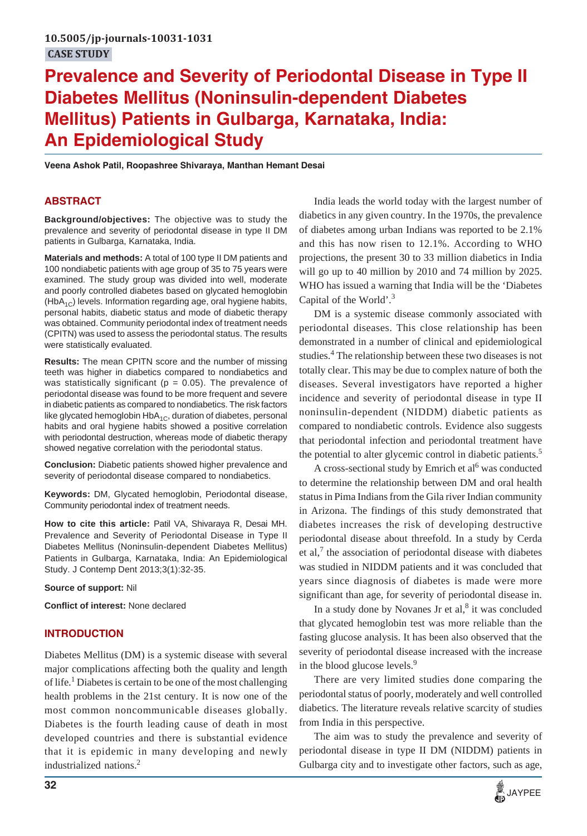# **Prevalence and Severity of Periodontal Disease in Type II Diabetes Mellitus (Noninsulin-dependent Diabetes Mellitus) Patients in Gulbarga, Karnataka, India: An Epidemiological Study**

**Veena Ashok Patil, Roopashree Shivaraya, Manthan Hemant Desai**

## **ABSTRACT**

**Background/objectives:** The objective was to study the prevalence and severity of periodontal disease in type II DM patients in Gulbarga, Karnataka, India.

**Materials and methods:** A total of 100 type II DM patients and 100 nondiabetic patients with age group of 35 to 75 years were examined. The study group was divided into well, moderate and poorly controlled diabetes based on glycated hemoglobin  $(HbA_{1C})$  levels. Information regarding age, oral hygiene habits, personal habits, diabetic status and mode of diabetic therapy was obtained. Community periodontal index of treatment needs (CPITN) was used to assess the periodontal status. The results were statistically evaluated.

**Results:** The mean CPITN score and the number of missing teeth was higher in diabetics compared to nondiabetics and was statistically significant ( $p = 0.05$ ). The prevalence of periodontal disease was found to be more frequent and severe in diabetic patients as compared to nondiabetics. The risk factors like glycated hemoglobin  $HbA_{1C}$ , duration of diabetes, personal habits and oral hygiene habits showed a positive correlation with periodontal destruction, whereas mode of diabetic therapy showed negative correlation with the periodontal status.

**Conclusion:** Diabetic patients showed higher prevalence and severity of periodontal disease compared to nondiabetics.

**Keywords:** DM, Glycated hemoglobin, Periodontal disease, Community periodontal index of treatment needs.

**How to cite this article:** Patil VA, Shivaraya R, Desai MH. Prevalence and Severity of Periodontal Disease in Type II Diabetes Mellitus (Noninsulin-dependent Diabetes Mellitus) Patients in Gulbarga, Karnataka, India: An Epidemiological Study. J Contemp Dent 2013;3(1):32-35.

**Source of support:** Nil

**Conflict of interest:** None declared

## **INTRODUCTION**

Diabetes Mellitus (DM) is a systemic disease with several major complications affecting both the quality and length of life.<sup>1</sup> Diabetes is certain to be one of the most challenging health problems in the 21st century. It is now one of the most common noncommunicable diseases globally. Diabetes is the fourth leading cause of death in most developed countries and there is substantial evidence that it is epidemic in many developing and newly industrialized nations.<sup>2</sup>

India leads the world today with the largest number of diabetics in any given country. In the 1970s, the prevalence of diabetes among urban Indians was reported to be 2.1% and this has now risen to 12.1%. According to WHO projections, the present 30 to 33 million diabetics in India will go up to 40 million by 2010 and 74 million by 2025. WHO has issued a warning that India will be the 'Diabetes Capital of the World'.3

DM is a systemic disease commonly associated with periodontal diseases. This close relationship has been demonstrated in a number of clinical and epidemiological studies.<sup>4</sup> The relationship between these two diseases is not totally clear. This may be due to complex nature of both the diseases. Several investigators have reported a higher incidence and severity of periodontal disease in type II noninsulin-dependent (NIDDM) diabetic patients as compared to nondiabetic controls. Evidence also suggests that periodontal infection and periodontal treatment have the potential to alter glycemic control in diabetic patients.<sup>5</sup>

A cross-sectional study by Emrich et al<sup>6</sup> was conducted to determine the relationship between DM and oral health status in Pima Indians from the Gila river Indian community in Arizona. The findings of this study demonstrated that diabetes increases the risk of developing destructive periodontal disease about threefold. In a study by Cerda et al,<sup>7</sup> the association of periodontal disease with diabetes was studied in NIDDM patients and it was concluded that years since diagnosis of diabetes is made were more significant than age, for severity of periodontal disease in.

In a study done by Novanes Jr et al,<sup>8</sup> it was concluded that glycated hemoglobin test was more reliable than the fasting glucose analysis. It has been also observed that the severity of periodontal disease increased with the increase in the blood glucose levels.<sup>9</sup>

There are very limited studies done comparing the periodontal status of poorly, moderately and well controlled diabetics. The literature reveals relative scarcity of studies from India in this perspective.

The aim was to study the prevalence and severity of periodontal disease in type II DM (NIDDM) patients in Gulbarga city and to investigate other factors, such as age,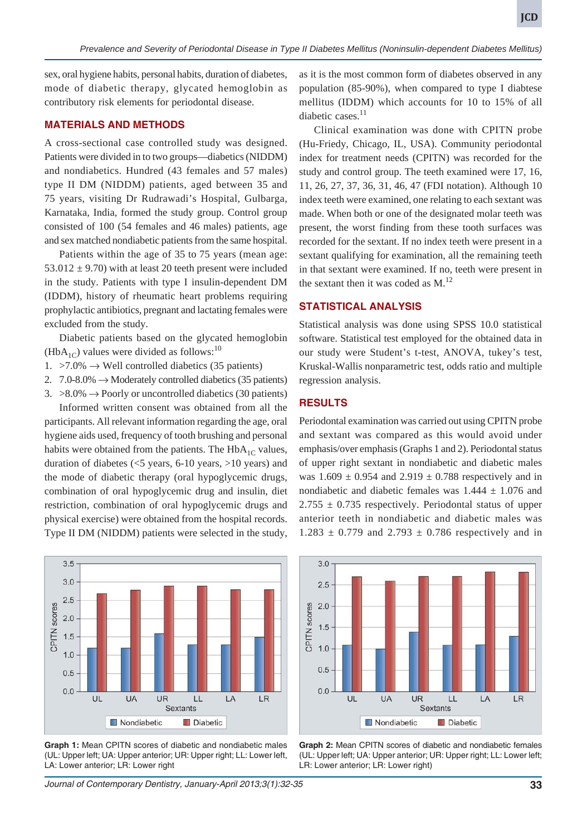sex, oral hygiene habits, personal habits, duration of diabetes, mode of diabetic therapy, glycated hemoglobin as contributory risk elements for periodontal disease.

## **MATERIALS AND METHODS**

A cross-sectional case controlled study was designed. Patients were divided in to two groups—diabetics (NIDDM) and nondiabetics. Hundred (43 females and 57 males) type II DM (NIDDM) patients, aged between 35 and 75 years, visiting Dr Rudrawadi's Hospital, Gulbarga, Karnataka, India, formed the study group. Control group consisted of 100 (54 females and 46 males) patients, age and sex matched nondiabetic patients from the same hospital.

Patients within the age of 35 to 75 years (mean age: 53.012  $\pm$  9.70) with at least 20 teeth present were included in the study. Patients with type I insulin-dependent DM (IDDM), history of rheumatic heart problems requiring prophylactic antibiotics, pregnant and lactating females were excluded from the study.

Diabetic patients based on the glycated hemoglobin (HbA<sub>1C</sub>) values were divided as follows:<sup>10</sup>

- 1.  $>7.0\% \rightarrow$  Well controlled diabetics (35 patients)
- 2.  $7.0-8.0\% \rightarrow$  Moderately controlled diabetics (35 patients)
- 3.  $>8.0\%$   $\rightarrow$  Poorly or uncontrolled diabetics (30 patients) Informed written consent was obtained from all the

participants. All relevant information regarding the age, oral hygiene aids used, frequency of tooth brushing and personal habits were obtained from the patients. The  $HbA_{1C}$  values, duration of diabetes  $(<5$  years, 6-10 years, >10 years) and the mode of diabetic therapy (oral hypoglycemic drugs, combination of oral hypoglycemic drug and insulin, diet restriction, combination of oral hypoglycemic drugs and physical exercise) were obtained from the hospital records. Type II DM (NIDDM) patients were selected in the study,



**Graph 1:** Mean CPITN scores of diabetic and nondiabetic males (UL: Upper left; UA: Upper anterior; UR: Upper right; LL: Lower left, LA: Lower anterior; LR: Lower right

as it is the most common form of diabetes observed in any population (85-90%), when compared to type I diabtese mellitus (IDDM) which accounts for 10 to 15% of all diabetic cases.<sup>11</sup>

Clinical examination was done with CPITN probe (Hu-Friedy, Chicago, IL, USA). Community periodontal index for treatment needs (CPITN) was recorded for the study and control group. The teeth examined were 17, 16, 11, 26, 27, 37, 36, 31, 46, 47 (FDI notation). Although 10 index teeth were examined, one relating to each sextant was made. When both or one of the designated molar teeth was present, the worst finding from these tooth surfaces was recorded for the sextant. If no index teeth were present in a sextant qualifying for examination, all the remaining teeth in that sextant were examined. If no, teeth were present in the sextant then it was coded as  $M$ .<sup>12</sup>

## **STATISTICAL ANALYSIS**

Statistical analysis was done using SPSS 10.0 statistical software. Statistical test employed for the obtained data in our study were Student's t-test, ANOVA, tukey's test, Kruskal-Wallis nonparametric test, odds ratio and multiple regression analysis.

## **RESULTS**

Periodontal examination was carried out using CPITN probe and sextant was compared as this would avoid under emphasis/over emphasis (Graphs 1 and 2). Periodontal status of upper right sextant in nondiabetic and diabetic males was  $1.609 \pm 0.954$  and  $2.919 \pm 0.788$  respectively and in nondiabetic and diabetic females was  $1.444 \pm 1.076$  and  $2.755 \pm 0.735$  respectively. Periodontal status of upper anterior teeth in nondiabetic and diabetic males was  $1.283 \pm 0.779$  and  $2.793 \pm 0.786$  respectively and in



**Graph 2:** Mean CPITN scores of diabetic and nondiabetic females (UL: Upper left; UA: Upper anterior; UR: Upper right; LL: Lower left; LR: Lower anterior; LR: Lower right)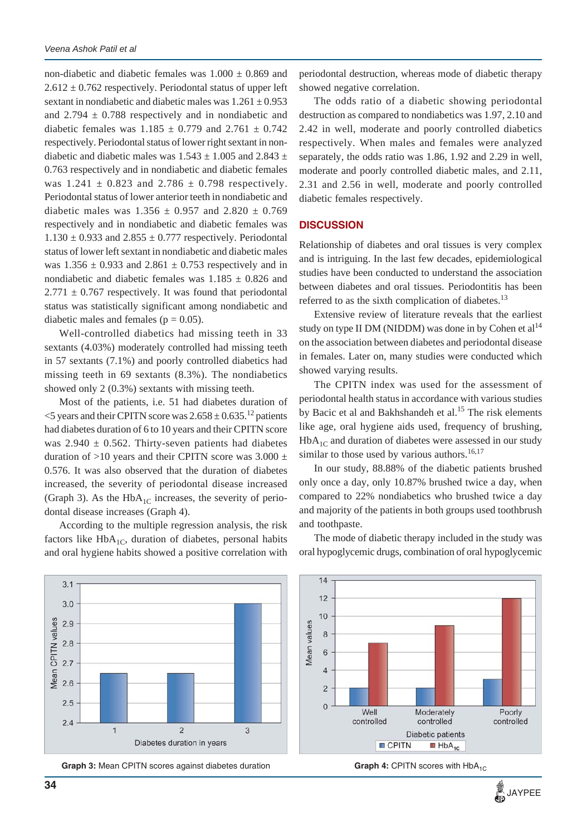non-diabetic and diabetic females was  $1.000 \pm 0.869$  and  $2.612 \pm 0.762$  respectively. Periodontal status of upper left sextant in nondiabetic and diabetic males was  $1.261 \pm 0.953$ and  $2.794 \pm 0.788$  respectively and in nondiabetic and diabetic females was  $1.185 \pm 0.779$  and  $2.761 \pm 0.742$ respectively. Periodontal status of lower right sextant in nondiabetic and diabetic males was  $1.543 \pm 1.005$  and  $2.843 \pm 1.005$ 0.763 respectively and in nondiabetic and diabetic females was  $1.241 \pm 0.823$  and  $2.786 \pm 0.798$  respectively. Periodontal status of lower anterior teeth in nondiabetic and diabetic males was  $1.356 \pm 0.957$  and  $2.820 \pm 0.769$ respectively and in nondiabetic and diabetic females was  $1.130 \pm 0.933$  and  $2.855 \pm 0.777$  respectively. Periodontal status of lower left sextant in nondiabetic and diabetic males was  $1.356 \pm 0.933$  and  $2.861 \pm 0.753$  respectively and in nondiabetic and diabetic females was  $1.185 \pm 0.826$  and  $2.771 \pm 0.767$  respectively. It was found that periodontal status was statistically significant among nondiabetic and diabetic males and females ( $p = 0.05$ ).

Well-controlled diabetics had missing teeth in 33 sextants (4.03%) moderately controlled had missing teeth in 57 sextants (7.1%) and poorly controlled diabetics had missing teeth in 69 sextants (8.3%). The nondiabetics showed only 2 (0.3%) sextants with missing teeth.

Most of the patients, i.e. 51 had diabetes duration of  $\leq$  years and their CPITN score was 2.658  $\pm$  0.635.<sup>12</sup> patients had diabetes duration of 6 to 10 years and their CPITN score was  $2.940 \pm 0.562$ . Thirty-seven patients had diabetes duration of  $>10$  years and their CPITN score was 3.000  $\pm$ 0.576. It was also observed that the duration of diabetes increased, the severity of periodontal disease increased (Graph 3). As the HbA<sub>1C</sub> increases, the severity of periodontal disease increases (Graph 4).

According to the multiple regression analysis, the risk factors like  $HbA_{1C}$ , duration of diabetes, personal habits and oral hygiene habits showed a positive correlation with

periodontal destruction, whereas mode of diabetic therapy showed negative correlation.

The odds ratio of a diabetic showing periodontal destruction as compared to nondiabetics was 1.97, 2.10 and 2.42 in well, moderate and poorly controlled diabetics respectively. When males and females were analyzed separately, the odds ratio was 1.86, 1.92 and 2.29 in well, moderate and poorly controlled diabetic males, and 2.11, 2.31 and 2.56 in well, moderate and poorly controlled diabetic females respectively.

#### **DISCUSSION**

Relationship of diabetes and oral tissues is very complex and is intriguing. In the last few decades, epidemiological studies have been conducted to understand the association between diabetes and oral tissues. Periodontitis has been referred to as the sixth complication of diabetes. $^{13}$ 

Extensive review of literature reveals that the earliest study on type II DM (NIDDM) was done in by Cohen et  $al<sup>14</sup>$ on the association between diabetes and periodontal disease in females. Later on, many studies were conducted which showed varying results.

The CPITN index was used for the assessment of periodontal health status in accordance with various studies by Bacic et al and Bakhshandeh et al.<sup>15</sup> The risk elements like age, oral hygiene aids used, frequency of brushing,  $HbA_{1C}$  and duration of diabetes were assessed in our study similar to those used by various authors. $16,17$ 

In our study, 88.88% of the diabetic patients brushed only once a day, only 10.87% brushed twice a day, when compared to 22% nondiabetics who brushed twice a day and majority of the patients in both groups used toothbrush and toothpaste.

The mode of diabetic therapy included in the study was oral hypoglycemic drugs, combination of oral hypoglycemic



**Graph 3:** Mean CPITN scores against diabetes duration **Graph 4:** CPITN scores with HbA<sub>1C</sub>